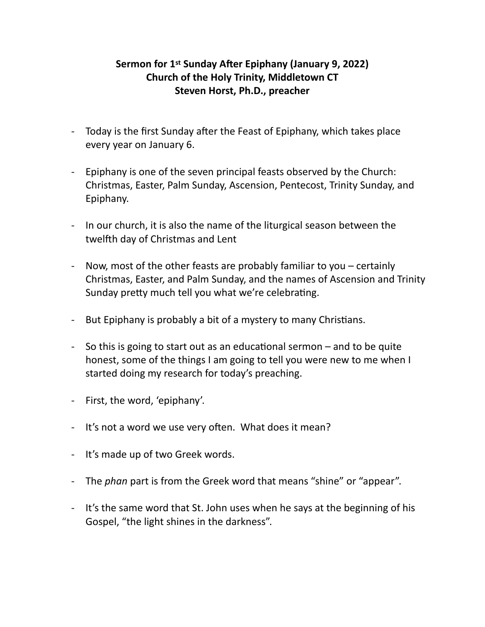## **Sermon for 1st Sunday After Epiphany (January 9, 2022) Church of the Holy Trinity, Middletown CT Steven Horst, Ph.D., preacher**

- Today is the first Sunday after the Feast of Epiphany, which takes place every year on January 6.
- Epiphany is one of the seven principal feasts observed by the Church: Christmas, Easter, Palm Sunday, Ascension, Pentecost, Trinity Sunday, and Epiphany.
- In our church, it is also the name of the liturgical season between the twelfth day of Christmas and Lent
- Now, most of the other feasts are probably familiar to you  $-$  certainly Christmas, Easter, and Palm Sunday, and the names of Ascension and Trinity Sunday pretty much tell you what we're celebrating.
- But Epiphany is probably a bit of a mystery to many Christians.
- So this is going to start out as an educational sermon  $-$  and to be quite honest, some of the things I am going to tell you were new to me when I started doing my research for today's preaching.
- First, the word, 'epiphany'.
- It's not a word we use very often. What does it mean?
- It's made up of two Greek words.
- The *phan* part is from the Greek word that means "shine" or "appear".
- It's the same word that St. John uses when he says at the beginning of his Gospel, "the light shines in the darkness".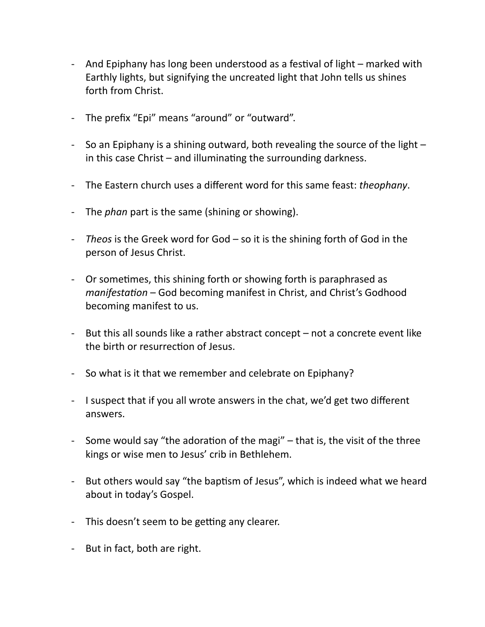- And Epiphany has long been understood as a festival of light marked with Earthly lights, but signifying the uncreated light that John tells us shines forth from Christ.
- The prefix "Epi" means "around" or "outward".
- So an Epiphany is a shining outward, both revealing the source of the light  $$ in this case Christ  $-$  and illuminating the surrounding darkness.
- The Eastern church uses a different word for this same feast: *theophany*.
- The *phan* part is the same (shining or showing).
- Theos is the Greek word for God so it is the shining forth of God in the person of Jesus Christ.
- Or sometimes, this shining forth or showing forth is paraphrased as *manifestation* – God becoming manifest in Christ, and Christ's Godhood becoming manifest to us.
- But this all sounds like a rather abstract concept  $-$  not a concrete event like the birth or resurrection of Jesus.
- So what is it that we remember and celebrate on Epiphany?
- I suspect that if you all wrote answers in the chat, we'd get two different answers.
- Some would say "the adoration of the magi"  $-$  that is, the visit of the three kings or wise men to Jesus' crib in Bethlehem.
- But others would say "the baptism of Jesus", which is indeed what we heard about in today's Gospel.
- This doesn't seem to be getting any clearer.
- But in fact, both are right.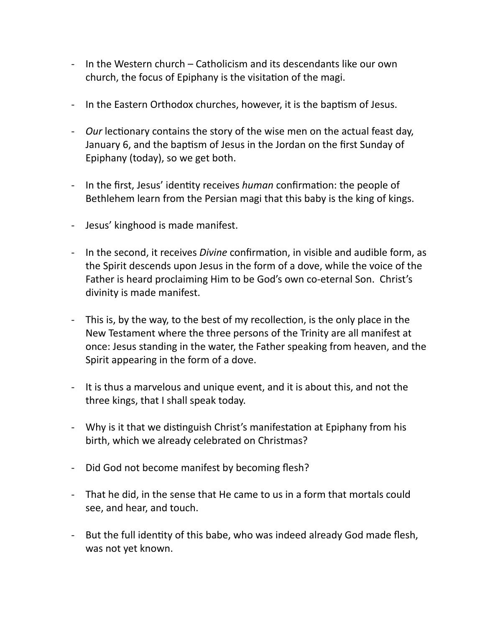- In the Western church Catholicism and its descendants like our own church, the focus of Epiphany is the visitation of the magi.
- In the Eastern Orthodox churches, however, it is the baptism of Jesus.
- *Our* lectionary contains the story of the wise men on the actual feast day, January 6, and the baptism of Jesus in the Jordan on the first Sunday of Epiphany (today), so we get both.
- In the first, Jesus' identity receives *human* confirmation: the people of Bethlehem learn from the Persian magi that this baby is the king of kings.
- Jesus' kinghood is made manifest.
- In the second, it receives *Divine* confirmation, in visible and audible form, as the Spirit descends upon Jesus in the form of a dove, while the voice of the Father is heard proclaiming Him to be God's own co-eternal Son. Christ's divinity is made manifest.
- This is, by the way, to the best of my recollection, is the only place in the New Testament where the three persons of the Trinity are all manifest at once: Jesus standing in the water, the Father speaking from heaven, and the Spirit appearing in the form of a dove.
- It is thus a marvelous and unique event, and it is about this, and not the three kings, that I shall speak today.
- Why is it that we distinguish Christ's manifestation at Epiphany from his birth, which we already celebrated on Christmas?
- Did God not become manifest by becoming flesh?
- That he did, in the sense that He came to us in a form that mortals could see, and hear, and touch.
- But the full identity of this babe, who was indeed already God made flesh, was not yet known.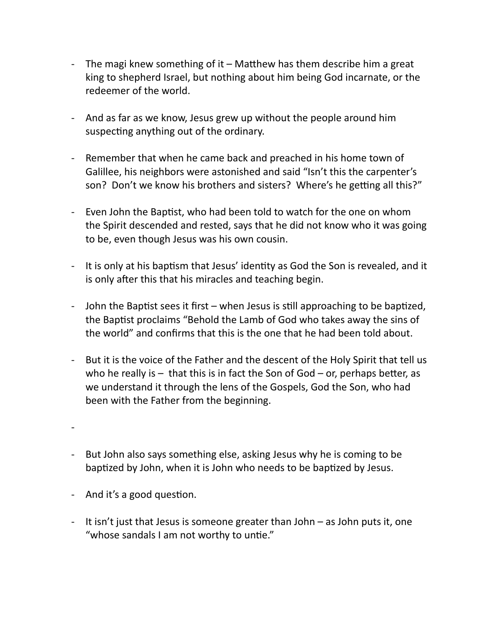- The magi knew something of it Matthew has them describe him a great king to shepherd Israel, but nothing about him being God incarnate, or the redeemer of the world.
- And as far as we know, Jesus grew up without the people around him suspecting anything out of the ordinary.
- Remember that when he came back and preached in his home town of Galillee, his neighbors were astonished and said "Isn't this the carpenter's son? Don't we know his brothers and sisters? Where's he getting all this?"
- Even John the Baptist, who had been told to watch for the one on whom the Spirit descended and rested, says that he did not know who it was going to be, even though Jesus was his own cousin.
- It is only at his baptism that Jesus' identity as God the Son is revealed, and it is only after this that his miracles and teaching begin.
- John the Baptist sees it first when Jesus is still approaching to be baptized, the Baptist proclaims "Behold the Lamb of God who takes away the sins of the world" and confirms that this is the one that he had been told about.
- But it is the voice of the Father and the descent of the Holy Spirit that tell us who he really is  $-$  that this is in fact the Son of God – or, perhaps better, as we understand it through the lens of the Gospels, God the Son, who had been with the Father from the beginning.

-

- But John also says something else, asking Jesus why he is coming to be baptized by John, when it is John who needs to be baptized by Jesus.
- And it's a good question.
- It isn't just that Jesus is someone greater than John  $-$  as John puts it, one "whose sandals I am not worthy to untie."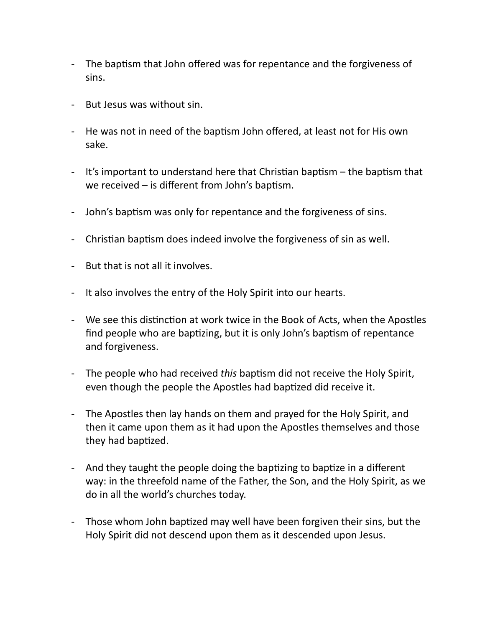- The baptism that John offered was for repentance and the forgiveness of sins.
- But Jesus was without sin.
- He was not in need of the baptism John offered, at least not for His own sake.
- It's important to understand here that Christian baptism the baptism that we received  $-$  is different from John's baptism.
- John's baptism was only for repentance and the forgiveness of sins.
- Christian baptism does indeed involve the forgiveness of sin as well.
- But that is not all it involves.
- It also involves the entry of the Holy Spirit into our hearts.
- We see this distinction at work twice in the Book of Acts, when the Apostles find people who are baptizing, but it is only John's baptism of repentance and forgiveness.
- The people who had received *this* baptism did not receive the Holy Spirit, even though the people the Apostles had baptized did receive it.
- The Apostles then lay hands on them and prayed for the Holy Spirit, and then it came upon them as it had upon the Apostles themselves and those they had baptized.
- And they taught the people doing the baptizing to baptize in a different way: in the threefold name of the Father, the Son, and the Holy Spirit, as we do in all the world's churches today.
- Those whom John baptized may well have been forgiven their sins, but the Holy Spirit did not descend upon them as it descended upon Jesus.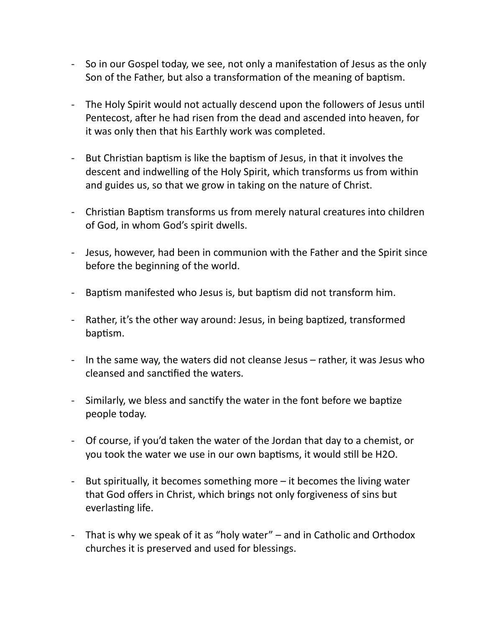- So in our Gospel today, we see, not only a manifestation of Jesus as the only Son of the Father, but also a transformation of the meaning of baptism.
- The Holy Spirit would not actually descend upon the followers of Jesus until Pentecost, after he had risen from the dead and ascended into heaven, for it was only then that his Earthly work was completed.
- But Christian baptism is like the baptism of Jesus, in that it involves the descent and indwelling of the Holy Spirit, which transforms us from within and guides us, so that we grow in taking on the nature of Christ.
- Christian Baptism transforms us from merely natural creatures into children of God, in whom God's spirit dwells.
- Jesus, however, had been in communion with the Father and the Spirit since before the beginning of the world.
- Baptism manifested who Jesus is, but baptism did not transform him.
- Rather, it's the other way around: Jesus, in being baptized, transformed baptism.
- In the same way, the waters did not cleanse Jesus rather, it was Jesus who cleansed and sanctified the waters.
- Similarly, we bless and sanctify the water in the font before we baptize people today.
- Of course, if you'd taken the water of the Jordan that day to a chemist, or you took the water we use in our own baptisms, it would still be H2O.
- But spiritually, it becomes something more  $-$  it becomes the living water that God offers in Christ, which brings not only forgiveness of sins but everlasting life.
- That is why we speak of it as "holy water"  $-$  and in Catholic and Orthodox churches it is preserved and used for blessings.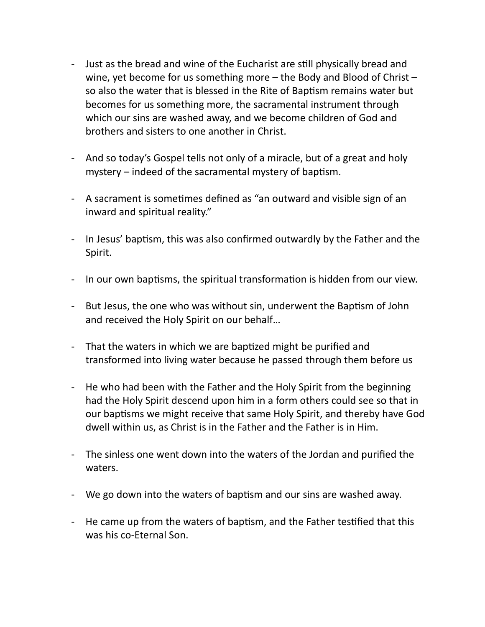- Just as the bread and wine of the Eucharist are still physically bread and wine, yet become for us something more  $-$  the Body and Blood of Christ  $$ so also the water that is blessed in the Rite of Baptism remains water but becomes for us something more, the sacramental instrument through which our sins are washed away, and we become children of God and brothers and sisters to one another in Christ.
- And so today's Gospel tells not only of a miracle, but of a great and holy mystery  $-$  indeed of the sacramental mystery of baptism.
- A sacrament is sometimes defined as "an outward and visible sign of an inward and spiritual reality."
- In Jesus' baptism, this was also confirmed outwardly by the Father and the Spirit.
- In our own baptisms, the spiritual transformation is hidden from our view.
- But Jesus, the one who was without sin, underwent the Baptism of John and received the Holy Spirit on our behalf...
- That the waters in which we are baptized might be purified and transformed into living water because he passed through them before us
- He who had been with the Father and the Holy Spirit from the beginning had the Holy Spirit descend upon him in a form others could see so that in our baptisms we might receive that same Holy Spirit, and thereby have God dwell within us, as Christ is in the Father and the Father is in Him.
- The sinless one went down into the waters of the Jordan and purified the waters.
- We go down into the waters of baptism and our sins are washed away.
- He came up from the waters of baptism, and the Father testified that this was his co-Eternal Son.